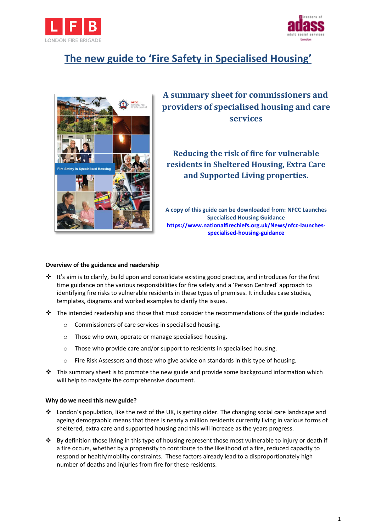



# **The new guide to 'Fire Safety in Specialised Housing'**



**A summary sheet for commissioners and providers of specialised housing and care services** 

**Reducing the risk of fire for vulnerable residents in Sheltered Housing, Extra Care and Supported Living properties.**

**A copy of this guide can be downloaded from: [NFCC Launches](https://www.nationalfirechiefs.org.uk/News/nfcc-launches-specialised-housing-guidance)  [Specialised Housing Guidance](https://www.nationalfirechiefs.org.uk/News/nfcc-launches-specialised-housing-guidance) [https://www.nationalfirechiefs.org.uk/News/nfcc-launches](https://www.nationalfirechiefs.org.uk/News/nfcc-launches-specialised-housing-guidance)[specialised-housing-guidance](https://www.nationalfirechiefs.org.uk/News/nfcc-launches-specialised-housing-guidance)**

### **Overview of the guidance and readership**

- $\cdot \cdot$  It's aim is to clarify, build upon and consolidate existing good practice, and introduces for the first time guidance on the various responsibilities for fire safety and a 'Person Centred' approach to identifying fire risks to vulnerable residents in these types of premises. It includes case studies, templates, diagrams and worked examples to clarify the issues.
- $\div$  The intended readership and those that must consider the recommendations of the guide includes:
	- o Commissioners of care services in specialised housing.
	- o Those who own, operate or manage specialised housing.
	- $\circ$  Those who provide care and/or support to residents in specialised housing.
	- o Fire Risk Assessors and those who give advice on standards in this type of housing.
- $\cdot \cdot$  This summary sheet is to promote the new guide and provide some background information which will help to navigate the comprehensive document.

### **Why do we need this new guide?**

- London's population, like the rest of the UK, is getting older. The changing social care landscape and ageing demographic means that there is nearly a million residents currently living in various forms of sheltered, extra care and supported housing and this will increase as the years progress.
- By definition those living in this type of housing represent those most vulnerable to injury or death if a fire occurs, whether by a propensity to contribute to the likelihood of a fire, reduced capacity to respond or health/mobility constraints. These factors already lead to a disproportionately high number of deaths and injuries from fire for these residents.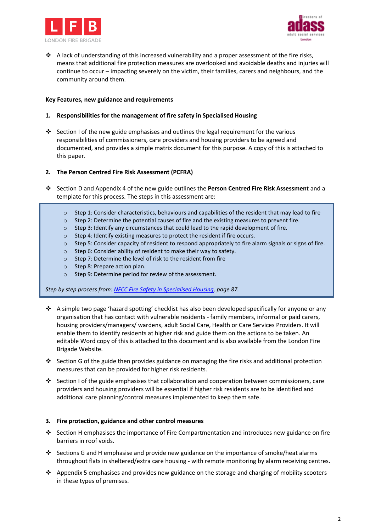



 $\triangle$  A lack of understanding of this increased vulnerability and a proper assessment of the fire risks, means that additional fire protection measures are overlooked and avoidable deaths and injuries will continue to occur – impacting severely on the victim, their families, carers and neighbours, and the community around them.

## **Key Features, new guidance and requirements**

## **1. Responsibilities for the management of fire safety in Specialised Housing**

Section I of the new guide emphasises and outlines the legal requirement for the various responsibilities of commissioners, care providers and housing providers to be agreed and documented, and provides a simple matrix document for this purpose. A copy of this is attached to this paper.

## **2. The Person Centred Fire Risk Assessment (PCFRA)**

- Section D and Appendix 4 of the new guide outlines the **Person Centred Fire Risk Assessment** and a template for this process. The steps in this assessment are:
	- $\circ$  Step 1: Consider characteristics, behaviours and capabilities of the resident that may lead to fire
	- o Step 2: Determine the potential causes of fire and the existing measures to prevent fire.
	- o Step 3: Identify any circumstances that could lead to the rapid development of fire.
	- o Step 4: Identify existing measures to protect the resident if fire occurs.
	- o Step 5: Consider capacity of resident to respond appropriately to fire alarm signals or signs of fire.
	- o Step 6: Consider ability of resident to make their way to safety.
	- o Step 7: Determine the level of risk to the resident from fire
	- o Step 8: Prepare action plan.
	- o Step 9: Determine period for review of the assessment.

*Step by step process from[: NFCC Fire Safety in Specialised Housing,](https://www.nationalfirechiefs.org.uk/write/MediaUploads/NFCC%20Guidance%20publications/NFCC_Specialised_Housing_Guidance_-_Copy.pdf) page 87.* 

- $\bullet$  A simple two page 'hazard spotting' checklist has also been developed specifically for anyone or any organisation that has contact with vulnerable residents - family members, informal or paid carers, housing providers/managers/ wardens, adult Social Care, Health or Care Services Providers. It will enable them to identify residents at higher risk and guide them on the actions to be taken. An editable Word copy of this is attached to this document and is also available from the London Fire Brigade Website.
- Section G of the guide then provides guidance on managing the fire risks and additional protection measures that can be provided for higher risk residents.
- Section I of the guide emphasises that collaboration and cooperation between commissioners, care providers and housing providers will be essential if higher risk residents are to be identified and additional care planning/control measures implemented to keep them safe.

### **3. Fire protection, guidance and other control measures**

- Section H emphasises the importance of Fire Compartmentation and introduces new guidance on fire barriers in roof voids.
- Sections G and H emphasise and provide new guidance on the importance of smoke/heat alarms throughout flats in sheltered/extra care housing - with remote monitoring by alarm receiving centres.
- Appendix 5 emphasises and provides new guidance on the storage and charging of mobility scooters in these types of premises.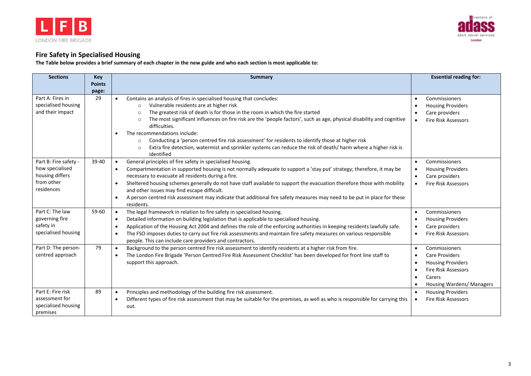



## **Fire Safety in Specialised Housing**

**The Table below provides a brief summary of each chapter in the new guide and who each section is most applicable to:**

| <b>Sections</b>                                                                         | Key           | <b>Summary</b>                                                                                                                                                                                                                                                                                                                                                                                                                                                                                                                                                                                                                                                                                    | <b>Essential reading for:</b>                                                                                                                                                                            |
|-----------------------------------------------------------------------------------------|---------------|---------------------------------------------------------------------------------------------------------------------------------------------------------------------------------------------------------------------------------------------------------------------------------------------------------------------------------------------------------------------------------------------------------------------------------------------------------------------------------------------------------------------------------------------------------------------------------------------------------------------------------------------------------------------------------------------------|----------------------------------------------------------------------------------------------------------------------------------------------------------------------------------------------------------|
|                                                                                         | <b>Points</b> |                                                                                                                                                                                                                                                                                                                                                                                                                                                                                                                                                                                                                                                                                                   |                                                                                                                                                                                                          |
| Part A: Fires in<br>specialised housing<br>and their impact                             | page:<br>29   | Contains an analysis of fires in specialised housing that concludes:<br>$\bullet$<br>Vulnerable residents are at higher risk<br>$\circ$<br>The greatest risk of death is for those in the room in which the fire started<br>$\circ$<br>The most significant influences on fire risk are the 'people factors', such as age, physical disability and cognitive<br>$\circ$<br>difficulties.<br>The recommendations include:<br>$\bullet$<br>Conducting a 'person centred fire risk assessment' for residents to identify those at higher risk<br>$\circ$<br>Extra fire detection, watermist and sprinkler systems can reduce the risk of death/ harm where a higher risk is<br>$\circ$<br>identified | Commissioners<br>$\bullet$<br><b>Housing Providers</b><br>$\bullet$<br>Care providers<br><b>Fire Risk Assessors</b><br>$\bullet$                                                                         |
| Part B: Fire safety -<br>how specialised<br>housing differs<br>from other<br>residences | 39-40         | General principles of fire safety in specialised housing.<br>$\bullet$<br>Compartmentation in supported housing is not normally adequate to support a 'stay put' strategy; therefore, it may be<br>$\bullet$<br>necessary to evacuate all residents during a fire.<br>Sheltered housing schemes generally do not have staff available to support the evacuation therefore those with mobility<br>and other issues may find escape difficult.<br>A person centred risk assessment may indicate that additional fire safety measures may need to be put in place for these<br>$\bullet$<br>residents.                                                                                               | Commissioners<br>$\bullet$<br><b>Housing Providers</b><br>Care providers<br>$\bullet$<br><b>Fire Risk Assessors</b>                                                                                      |
| Part C: The law<br>governing fire<br>safety in<br>specialised housing                   | 59-60         | The legal framework in relation to fire safety in specialised housing.<br>$\bullet$<br>Detailed information on building legislation that is applicable to specialised housing.<br>$\bullet$<br>Application of the Housing Act 2004 and defines the role of the enforcing authorities in keeping residents lawfully safe.<br>$\bullet$<br>The FSO imposes duties to carry out fire risk assessments and maintain fire safety measures on various responsible<br>$\bullet$<br>people. This can include care providers and contractors.                                                                                                                                                              | Commissioners<br>$\bullet$<br><b>Housing Providers</b><br>$\bullet$<br>Care providers<br><b>Fire Risk Assessors</b><br>$\bullet$                                                                         |
| Part D: The person-<br>centred approach                                                 | 79            | Background to the person centred fire risk assessment to identify residents at a higher risk from fire.<br>$\bullet$<br>The London Fire Brigade 'Person Centred Fire Risk Assessment Checklist' has been developed for front line staff to<br>$\bullet$<br>support this approach.                                                                                                                                                                                                                                                                                                                                                                                                                 | Commissioners<br>$\bullet$<br><b>Care Providers</b><br>$\bullet$<br><b>Housing Providers</b><br>$\bullet$<br><b>Fire Risk Assessors</b><br>$\bullet$<br>Carers<br>$\bullet$<br>Housing Wardens/ Managers |
| Part E: Fire risk<br>assessment for<br>specialised housing<br>premises                  | 89            | Principles and methodology of the building fire risk assessment.<br>$\bullet$<br>Different types of fire risk assessment that may be suitable for the premises, as well as who is responsible for carrying this<br>$\bullet$<br>out.                                                                                                                                                                                                                                                                                                                                                                                                                                                              | <b>Housing Providers</b><br><b>Fire Risk Assessors</b>                                                                                                                                                   |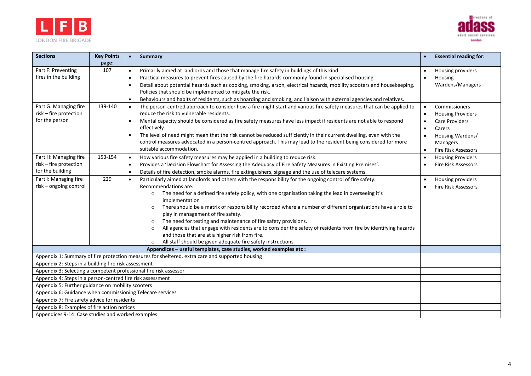



| <b>Sections</b>                                                     | <b>Key Points</b><br>page: | <b>Summary</b><br>$\bullet$                                                                                                                                                                                                                                                                                                                                                                                                                                                                                                                                                                                                                                                                                                                                                                    | <b>Essential reading for:</b>                                                                                                                                                                  |
|---------------------------------------------------------------------|----------------------------|------------------------------------------------------------------------------------------------------------------------------------------------------------------------------------------------------------------------------------------------------------------------------------------------------------------------------------------------------------------------------------------------------------------------------------------------------------------------------------------------------------------------------------------------------------------------------------------------------------------------------------------------------------------------------------------------------------------------------------------------------------------------------------------------|------------------------------------------------------------------------------------------------------------------------------------------------------------------------------------------------|
| Part F: Preventing<br>fires in the building                         | 107                        | Primarily aimed at landlords and those that manage fire safety in buildings of this kind.<br>$\bullet$<br>Practical measures to prevent fires caused by the fire hazards commonly found in specialised housing.<br>$\bullet$<br>Detail about potential hazards such as cooking, smoking, arson, electrical hazards, mobility scooters and housekeeping.<br>$\bullet$<br>Policies that should be implemented to mitigate the risk.<br>Behaviours and habits of residents, such as hoarding and smoking, and liaison with external agencies and relatives.                                                                                                                                                                                                                                       | Housing providers<br>Housing<br>Wardens/Managers                                                                                                                                               |
| Part G: Managing fire<br>risk - fire protection<br>for the person   | 139-140                    | The person-centred approach to consider how a fire might start and various fire safety measures that can be applied to<br>$\bullet$<br>reduce the risk to vulnerable residents.<br>Mental capacity should be considered as fire safety measures have less impact if residents are not able to respond<br>$\bullet$<br>effectively.<br>The level of need might mean that the risk cannot be reduced sufficiently in their current dwelling, even with the<br>$\bullet$<br>control measures advocated in a person-centred approach. This may lead to the resident being considered for more<br>suitable accommodation.                                                                                                                                                                           | Commissioners<br><b>Housing Providers</b><br>$\bullet$<br><b>Care Providers</b><br>$\bullet$<br>Carers<br>Housing Wardens/<br>$\bullet$<br>Managers<br><b>Fire Risk Assessors</b><br>$\bullet$ |
| Part H: Managing fire<br>risk - fire protection<br>for the building | 153-154                    | How various fire safety measures may be applied in a building to reduce risk.<br>$\bullet$<br>Provides a 'Decision Flowchart for Assessing the Adequacy of Fire Safety Measures in Existing Premises'.<br>$\bullet$<br>Details of fire detection, smoke alarms, fire extinguishers, signage and the use of telecare systems.<br>$\epsilon$                                                                                                                                                                                                                                                                                                                                                                                                                                                     | <b>Housing Providers</b><br>$\bullet$<br><b>Fire Risk Assessors</b>                                                                                                                            |
| Part I: Managing fire<br>risk - ongoing control                     | 229                        | Particularly aimed at landlords and others with the responsibility for the ongoing control of fire safety.<br>$\bullet$<br>Recommendations are:<br>The need for a defined fire safety policy, with one organisation taking the lead in overseeing it's<br>$\circ$<br>implementation<br>There should be a matrix of responsibility recorded where a number of different organisations have a role to<br>$\circ$<br>play in management of fire safety.<br>The need for testing and maintenance of fire safety provisions.<br>$\circ$<br>All agencies that engage with residents are to consider the safety of residents from fire by identifying hazards<br>$\circ$<br>and those that are at a higher risk from fire.<br>All staff should be given adequate fire safety instructions.<br>$\circ$ | Housing providers<br><b>Fire Risk Assessors</b>                                                                                                                                                |
|                                                                     |                            | Appendices - useful templates, case studies, worked examples etc :                                                                                                                                                                                                                                                                                                                                                                                                                                                                                                                                                                                                                                                                                                                             |                                                                                                                                                                                                |
|                                                                     |                            | Appendix 1: Summary of fire protection measures for sheltered, extra care and supported housing                                                                                                                                                                                                                                                                                                                                                                                                                                                                                                                                                                                                                                                                                                |                                                                                                                                                                                                |
| Appendix 2: Steps in a building fire risk assessment                |                            | Appendix 3: Selecting a competent professional fire risk assessor                                                                                                                                                                                                                                                                                                                                                                                                                                                                                                                                                                                                                                                                                                                              |                                                                                                                                                                                                |
| Appendix 4: Steps in a person-centred fire risk assessment          |                            |                                                                                                                                                                                                                                                                                                                                                                                                                                                                                                                                                                                                                                                                                                                                                                                                |                                                                                                                                                                                                |
| Appendix 5: Further guidance on mobility scooters                   |                            |                                                                                                                                                                                                                                                                                                                                                                                                                                                                                                                                                                                                                                                                                                                                                                                                |                                                                                                                                                                                                |
| Appendix 6: Guidance when commissioning Telecare services           |                            |                                                                                                                                                                                                                                                                                                                                                                                                                                                                                                                                                                                                                                                                                                                                                                                                |                                                                                                                                                                                                |
| Appendix 7: Fire safety advice for residents                        |                            |                                                                                                                                                                                                                                                                                                                                                                                                                                                                                                                                                                                                                                                                                                                                                                                                |                                                                                                                                                                                                |
| Appendix 8: Examples of fire action notices                         |                            |                                                                                                                                                                                                                                                                                                                                                                                                                                                                                                                                                                                                                                                                                                                                                                                                |                                                                                                                                                                                                |
| Appendices 9-14: Case studies and worked examples                   |                            |                                                                                                                                                                                                                                                                                                                                                                                                                                                                                                                                                                                                                                                                                                                                                                                                |                                                                                                                                                                                                |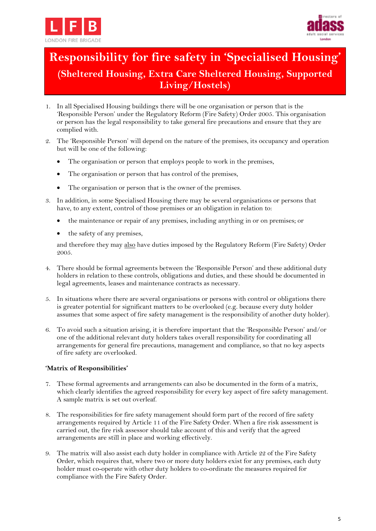



# **Responsibility for fire safety in 'Specialised Housing' (Sheltered Housing, Extra Care Sheltered Housing, Supported Living/Hostels)**

- 1. In all Specialised Housing buildings there will be one organisation or person that is the 'Responsible Person' under the Regulatory Reform (Fire Safety) Order 2005. This organisation or person has the legal responsibility to take general fire precautions and ensure that they are complied with.
- 2. The 'Responsible Person' will depend on the nature of the premises, its occupancy and operation but will be one of the following:
	- The organisation or person that employs people to work in the premises,
	- The organisation or person that has control of the premises,
	- The organisation or person that is the owner of the premises.
- 3. In addition, in some Specialised Housing there may be several organisations or persons that have, to any extent, control of those premises or an obligation in relation to:
	- the maintenance or repair of any premises, including anything in or on premises; or
	- the safety of any premises,

and therefore they may also have duties imposed by the Regulatory Reform (Fire Safety) Order 2005.

- 4. There should be formal agreements between the 'Responsible Person' and these additional duty holders in relation to these controls, obligations and duties, and these should be documented in legal agreements, leases and maintenance contracts as necessary.
- 5. In situations where there are several organisations or persons with control or obligations there is greater potential for significant matters to be overlooked (e.g. because every duty holder assumes that some aspect of fire safety management is the responsibility of another duty holder).
- 6. To avoid such a situation arising, it is therefore important that the 'Responsible Person' and/or one of the additional relevant duty holders takes overall responsibility for coordinating all arrangements for general fire precautions, management and compliance, so that no key aspects of fire safety are overlooked.

## **'Matrix of Responsibilities'**

- 7. These formal agreements and arrangements can also be documented in the form of a matrix, which clearly identifies the agreed responsibility for every key aspect of fire safety management. A sample matrix is set out overleaf.
- 8. The responsibilities for fire safety management should form part of the record of fire safety arrangements required by Article 11 of the Fire Safety Order. When a fire risk assessment is carried out, the fire risk assessor should take account of this and verify that the agreed arrangements are still in place and working effectively.
- 9. The matrix will also assist each duty holder in compliance with Article 22 of the Fire Safety Order, which requires that, where two or more duty holders exist for any premises, each duty holder must co-operate with other duty holders to co-ordinate the measures required for compliance with the Fire Safety Order.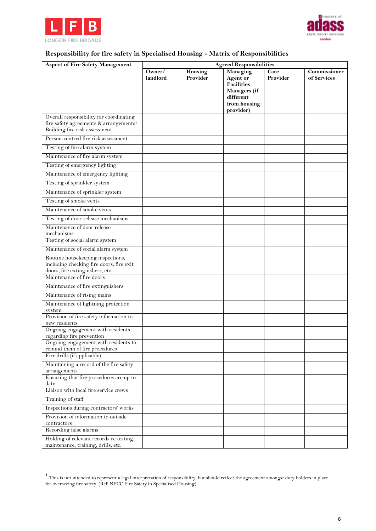



## **Responsibility for fire safety in Specialised Housing - Matrix of Responsibilities**

| <b>Aspect of Fire Safety Management</b>                                                                          | <b>Agreed Responsibilities</b> |                     |                                                                                                     |                  |                             |
|------------------------------------------------------------------------------------------------------------------|--------------------------------|---------------------|-----------------------------------------------------------------------------------------------------|------------------|-----------------------------|
|                                                                                                                  | Owner/<br>landlord             | Housing<br>Provider | Managing<br>Agent or<br><b>Facilities</b><br>Managers (if<br>different<br>from housing<br>provider) | Care<br>Provider | Commissioner<br>of Services |
| Overall responsibility for coordinating                                                                          |                                |                     |                                                                                                     |                  |                             |
| fire safety agreements & arrangements <sup>1</sup>                                                               |                                |                     |                                                                                                     |                  |                             |
| Building fire risk assessment                                                                                    |                                |                     |                                                                                                     |                  |                             |
| Person-centred fire risk assessment                                                                              |                                |                     |                                                                                                     |                  |                             |
| Testing of fire alarm system                                                                                     |                                |                     |                                                                                                     |                  |                             |
| Maintenance of fire alarm system                                                                                 |                                |                     |                                                                                                     |                  |                             |
| Testing of emergency lighting                                                                                    |                                |                     |                                                                                                     |                  |                             |
| Maintenance of emergency lighting                                                                                |                                |                     |                                                                                                     |                  |                             |
| Testing of sprinkler system                                                                                      |                                |                     |                                                                                                     |                  |                             |
| Maintenance of sprinkler system                                                                                  |                                |                     |                                                                                                     |                  |                             |
| Testing of smoke vents                                                                                           |                                |                     |                                                                                                     |                  |                             |
| Maintenance of smoke vents                                                                                       |                                |                     |                                                                                                     |                  |                             |
| Testing of door release mechanisms                                                                               |                                |                     |                                                                                                     |                  |                             |
| Maintenance of door release<br>mechanisms                                                                        |                                |                     |                                                                                                     |                  |                             |
| Testing of social alarm system                                                                                   |                                |                     |                                                                                                     |                  |                             |
| Maintenance of social alarm system                                                                               |                                |                     |                                                                                                     |                  |                             |
| Routine housekeeping inspections,<br>including checking fire doors, fire exit<br>doors, fire extinguishers, etc. |                                |                     |                                                                                                     |                  |                             |
| Maintenance of fire doors                                                                                        |                                |                     |                                                                                                     |                  |                             |
| Maintenance of fire extinguishers                                                                                |                                |                     |                                                                                                     |                  |                             |
| Maintenance of rising mains                                                                                      |                                |                     |                                                                                                     |                  |                             |
| Maintenance of lightning protection<br>system                                                                    |                                |                     |                                                                                                     |                  |                             |
| Provision of fire safety information to<br>new residents                                                         |                                |                     |                                                                                                     |                  |                             |
| Ongoing engagement with residents<br>regarding fire prevention                                                   |                                |                     |                                                                                                     |                  |                             |
| Ongoing engagement with residents to<br>remind them of fire procedures                                           |                                |                     |                                                                                                     |                  |                             |
| Fire drills (if applicable)                                                                                      |                                |                     |                                                                                                     |                  |                             |
| Maintaining a record of the fire safety<br>arrangements                                                          |                                |                     |                                                                                                     |                  |                             |
| Ensuring that fire procedures are up to<br>date                                                                  |                                |                     |                                                                                                     |                  |                             |
| Liaison with local fire service crews                                                                            |                                |                     |                                                                                                     |                  |                             |
| Training of staff                                                                                                |                                |                     |                                                                                                     |                  |                             |
| Inspections during contractors' works                                                                            |                                |                     |                                                                                                     |                  |                             |
| Provision of information to outside<br>contractors                                                               |                                |                     |                                                                                                     |                  |                             |
| Recording false alarms                                                                                           |                                |                     |                                                                                                     |                  |                             |
| Holding of relevant records re testing<br>maintenance, training, drills, etc.                                    |                                |                     |                                                                                                     |                  |                             |

 $\frac{1}{1}$  This is not intended to represent a legal interpretation of responsibility, but should reflect the agreement amongst duty holders in place for overseeing fire safety. (Ref: NFCC Fire Safety in Specialised Housing)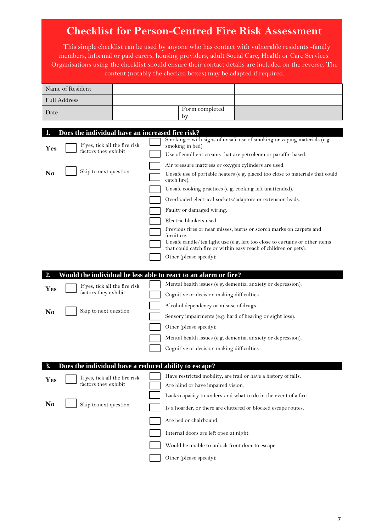| <b>Checklist for Person-Centred Fire Risk Assessment</b>                                                                                               |                                                                                                                                                                                                                                                                                                                                                                                                                                                                                                                                                                                                                                                                                                                                                                           |  |  |  |
|--------------------------------------------------------------------------------------------------------------------------------------------------------|---------------------------------------------------------------------------------------------------------------------------------------------------------------------------------------------------------------------------------------------------------------------------------------------------------------------------------------------------------------------------------------------------------------------------------------------------------------------------------------------------------------------------------------------------------------------------------------------------------------------------------------------------------------------------------------------------------------------------------------------------------------------------|--|--|--|
|                                                                                                                                                        | This simple checklist can be used by anyone who has contact with vulnerable residents -family<br>members, informal or paid carers, housing providers, adult Social Care, Health or Care Services.<br>Organisations using the checklist should ensure their contact details are included on the reverse. The<br>content (notably the checked boxes) may be adapted if required.                                                                                                                                                                                                                                                                                                                                                                                            |  |  |  |
| Name of Resident                                                                                                                                       |                                                                                                                                                                                                                                                                                                                                                                                                                                                                                                                                                                                                                                                                                                                                                                           |  |  |  |
| Full Address                                                                                                                                           |                                                                                                                                                                                                                                                                                                                                                                                                                                                                                                                                                                                                                                                                                                                                                                           |  |  |  |
| Date                                                                                                                                                   | Form completed<br>by                                                                                                                                                                                                                                                                                                                                                                                                                                                                                                                                                                                                                                                                                                                                                      |  |  |  |
|                                                                                                                                                        |                                                                                                                                                                                                                                                                                                                                                                                                                                                                                                                                                                                                                                                                                                                                                                           |  |  |  |
| Does the individual have an increased fire risk?<br>1.<br>If yes, tick all the fire risk<br>Yes<br>factors they exhibit<br>Skip to next question<br>No | Smoking - with signs of unsafe use of smoking or vaping materials (e.g.<br>smoking in bed).<br>Use of emollient creams that are petroleum or paraffin based.<br>Air pressure mattress or oxygen cylinders are used.<br>Unsafe use of portable heaters (e.g. placed too close to materials that could<br>catch fire).<br>Unsafe cooking practices (e.g. cooking left unattended).<br>Overloaded electrical sockets/adaptors or extension leads.<br>Faulty or damaged wiring.<br>Electric blankets used.<br>Previous fires or near misses, burns or scorch marks on carpets and<br>furniture.<br>Unsafe candle/tea light use (e.g. left too close to curtains or other items<br>that could catch fire or within easy reach of children or pets).<br>Other (please specify): |  |  |  |
|                                                                                                                                                        | Would the individual be less able to react to an alarm or fire?                                                                                                                                                                                                                                                                                                                                                                                                                                                                                                                                                                                                                                                                                                           |  |  |  |
| If yes, tick all the fire risk<br>Yes<br>factors they exhibit                                                                                          | Mental health issues (e.g. dementia, anxiety or depression).<br>Cognitive or decision making difficulties.                                                                                                                                                                                                                                                                                                                                                                                                                                                                                                                                                                                                                                                                |  |  |  |
| Skip to next question<br>No                                                                                                                            | Alcohol dependency or misuse of drugs.<br>Sensory impairments (e.g. hard of hearing or sight loss).                                                                                                                                                                                                                                                                                                                                                                                                                                                                                                                                                                                                                                                                       |  |  |  |
|                                                                                                                                                        | Other (please specify):<br>Mental health issues (e.g. dementia, anxiety or depression).<br>Cognitive or decision making difficulties.                                                                                                                                                                                                                                                                                                                                                                                                                                                                                                                                                                                                                                     |  |  |  |
|                                                                                                                                                        | Does the individual have a reduced ability to escape?                                                                                                                                                                                                                                                                                                                                                                                                                                                                                                                                                                                                                                                                                                                     |  |  |  |
| If yes, tick all the fire risk<br>Yes<br>factors they exhibit                                                                                          | Have restricted mobility, are frail or have a history of falls.<br>Are blind or have impaired vision.                                                                                                                                                                                                                                                                                                                                                                                                                                                                                                                                                                                                                                                                     |  |  |  |
| No<br>Skip to next question                                                                                                                            | Lacks capacity to understand what to do in the event of a fire.<br>Is a hoarder, or there are cluttered or blocked escape routes.                                                                                                                                                                                                                                                                                                                                                                                                                                                                                                                                                                                                                                         |  |  |  |
|                                                                                                                                                        | Are bed or chairbound.<br>Internal doors are left open at night.                                                                                                                                                                                                                                                                                                                                                                                                                                                                                                                                                                                                                                                                                                          |  |  |  |
|                                                                                                                                                        | Would be unable to unlock front door to escape.                                                                                                                                                                                                                                                                                                                                                                                                                                                                                                                                                                                                                                                                                                                           |  |  |  |
|                                                                                                                                                        | Other (please specify):                                                                                                                                                                                                                                                                                                                                                                                                                                                                                                                                                                                                                                                                                                                                                   |  |  |  |